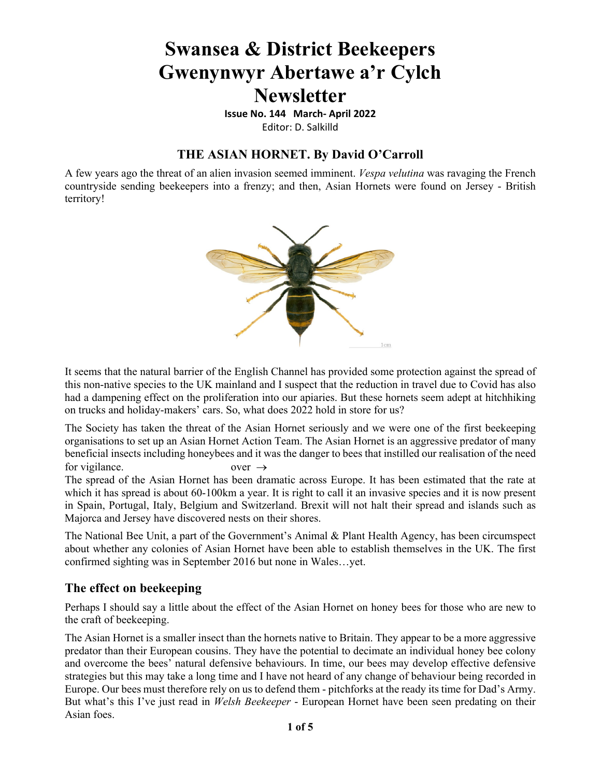# **Swansea & District Beekeepers Gwenynwyr Abertawe a'r Cylch Newsletter**

**Issue No. 144 March‐ April 2022**

Editor: D. Salkilld

## **THE ASIAN HORNET. By David O'Carroll**

A few years ago the threat of an alien invasion seemed imminent. *Vespa velutina* was ravaging the French countryside sending beekeepers into a frenzy; and then, Asian Hornets were found on Jersey - British territory!



It seems that the natural barrier of the English Channel has provided some protection against the spread of this non-native species to the UK mainland and I suspect that the reduction in travel due to Covid has also had a dampening effect on the proliferation into our apiaries. But these hornets seem adept at hitchhiking on trucks and holiday-makers' cars. So, what does 2022 hold in store for us?

The Society has taken the threat of the Asian Hornet seriously and we were one of the first beekeeping organisations to set up an Asian Hornet Action Team. The Asian Hornet is an aggressive predator of many beneficial insects including honeybees and it was the danger to bees that instilled our realisation of the need for vigilance.  $over \rightarrow$ 

The spread of the Asian Hornet has been dramatic across Europe. It has been estimated that the rate at which it has spread is about 60-100km a year. It is right to call it an invasive species and it is now present in Spain, Portugal, Italy, Belgium and Switzerland. Brexit will not halt their spread and islands such as Majorca and Jersey have discovered nests on their shores.

The National Bee Unit, a part of the Government's Animal & Plant Health Agency, has been circumspect about whether any colonies of Asian Hornet have been able to establish themselves in the UK. The first confirmed sighting was in September 2016 but none in Wales…yet.

## **The effect on beekeeping**

Perhaps I should say a little about the effect of the Asian Hornet on honey bees for those who are new to the craft of beekeeping.

The Asian Hornet is a smaller insect than the hornets native to Britain. They appear to be a more aggressive predator than their European cousins. They have the potential to decimate an individual honey bee colony and overcome the bees' natural defensive behaviours. In time, our bees may develop effective defensive strategies but this may take a long time and I have not heard of any change of behaviour being recorded in Europe. Our bees must therefore rely on us to defend them - pitchforks at the ready its time for Dad's Army. But what's this I've just read in *Welsh Beekeeper* - European Hornet have been seen predating on their Asian foes.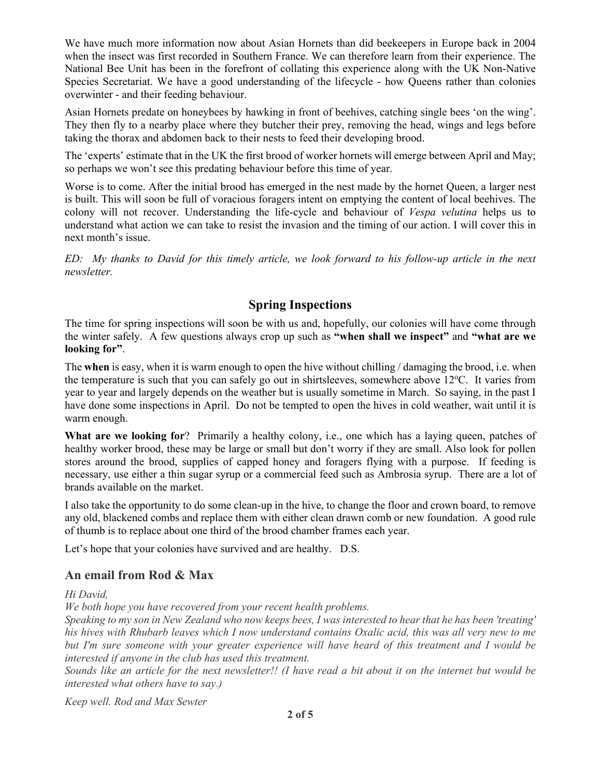We have much more information now about Asian Hornets than did beekeepers in Europe back in 2004 when the insect was first recorded in Southern France. We can therefore learn from their experience. The National Bee Unit has been in the forefront of collating this experience along with the UK Non-Native Species Secretariat. We have a good understanding of the lifecycle - how Queens rather than colonies overwinter - and their feeding behaviour.

Asian Hornets predate on honeybees by hawking in front of beehives, catching single bees 'on the wing'. They then fly to a nearby place where they butcher their prey, removing the head, wings and legs before taking the thorax and abdomen back to their nests to feed their developing brood.

The 'experts' estimate that in the UK the first brood of worker hornets will emerge between April and May; so perhaps we won't see this predating behaviour before this time of year.

Worse is to come. After the initial brood has emerged in the nest made by the hornet Queen, a larger nest is built. This will soon be full of voracious foragers intent on emptying the content of local beehives. The colony will not recover. Understanding the life-cycle and behaviour of *Vespa velutina* helps us to understand what action we can take to resist the invasion and the timing of our action. I will cover this in next month's issue.

*ED: My thanks to David for this timely article, we look forward to his follow-up article in the next newsletter.* 

# **Spring Inspections**

The time for spring inspections will soon be with us and, hopefully, our colonies will have come through the winter safely. A few questions always crop up such as **"when shall we inspect"** and **"what are we looking for"**.

The **when** is easy, when it is warm enough to open the hive without chilling / damaging the brood, i.e. when the temperature is such that you can safely go out in shirtsleeves, somewhere above 12°C. It varies from year to year and largely depends on the weather but is usually sometime in March. So saying, in the past I have done some inspections in April. Do not be tempted to open the hives in cold weather, wait until it is warm enough.

**What are we looking for**? Primarily a healthy colony, i.e., one which has a laying queen, patches of healthy worker brood, these may be large or small but don't worry if they are small. Also look for pollen stores around the brood, supplies of capped honey and foragers flying with a purpose. If feeding is necessary, use either a thin sugar syrup or a commercial feed such as Ambrosia syrup. There are a lot of brands available on the market.

I also take the opportunity to do some clean-up in the hive, to change the floor and crown board, to remove any old, blackened combs and replace them with either clean drawn comb or new foundation. A good rule of thumb is to replace about one third of the brood chamber frames each year.

Let's hope that your colonies have survived and are healthy. D.S.

#### **An email from Rod & Max**

*Hi David,* 

*We both hope you have recovered from your recent health problems.* 

*Speaking to my son in New Zealand who now keeps bees, I was interested to hear that he has been 'treating' his hives with Rhubarb leaves which I now understand contains Oxalic acid, this was all very new to me but I'm sure someone with your greater experience will have heard of this treatment and I would be interested if anyone in the club has used this treatment.* 

*Sounds like an article for the next newsletter!! (I have read a bit about it on the internet but would be interested what others have to say.)* 

*Keep well. Rod and Max Sewter*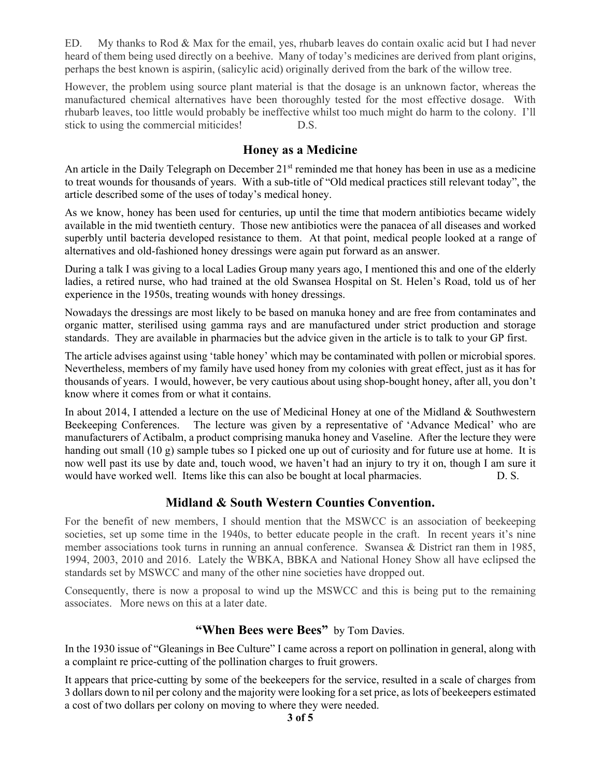ED. My thanks to Rod & Max for the email, yes, rhubarb leaves do contain oxalic acid but I had never heard of them being used directly on a beehive. Many of today's medicines are derived from plant origins, perhaps the best known is aspirin, (salicylic acid) originally derived from the bark of the willow tree.

However, the problem using source plant material is that the dosage is an unknown factor, whereas the manufactured chemical alternatives have been thoroughly tested for the most effective dosage. With rhubarb leaves, too little would probably be ineffective whilst too much might do harm to the colony. I'll stick to using the commercial miticides! D.S.

## **Honey as a Medicine**

An article in the Daily Telegraph on December  $21^{st}$  reminded me that honey has been in use as a medicine to treat wounds for thousands of years. With a sub-title of "Old medical practices still relevant today", the article described some of the uses of today's medical honey.

As we know, honey has been used for centuries, up until the time that modern antibiotics became widely available in the mid twentieth century. Those new antibiotics were the panacea of all diseases and worked superbly until bacteria developed resistance to them. At that point, medical people looked at a range of alternatives and old-fashioned honey dressings were again put forward as an answer.

During a talk I was giving to a local Ladies Group many years ago, I mentioned this and one of the elderly ladies, a retired nurse, who had trained at the old Swansea Hospital on St. Helen's Road, told us of her experience in the 1950s, treating wounds with honey dressings.

Nowadays the dressings are most likely to be based on manuka honey and are free from contaminates and organic matter, sterilised using gamma rays and are manufactured under strict production and storage standards. They are available in pharmacies but the advice given in the article is to talk to your GP first.

The article advises against using 'table honey' which may be contaminated with pollen or microbial spores. Nevertheless, members of my family have used honey from my colonies with great effect, just as it has for thousands of years. I would, however, be very cautious about using shop-bought honey, after all, you don't know where it comes from or what it contains.

In about 2014, I attended a lecture on the use of Medicinal Honey at one of the Midland & Southwestern Beekeeping Conferences. The lecture was given by a representative of 'Advance Medical' who are manufacturers of Actibalm, a product comprising manuka honey and Vaseline. After the lecture they were handing out small (10 g) sample tubes so I picked one up out of curiosity and for future use at home. It is now well past its use by date and, touch wood, we haven't had an injury to try it on, though I am sure it would have worked well. Items like this can also be bought at local pharmacies. D. S.

#### **Midland & South Western Counties Convention.**

For the benefit of new members, I should mention that the MSWCC is an association of beekeeping societies, set up some time in the 1940s, to better educate people in the craft. In recent years it's nine member associations took turns in running an annual conference. Swansea  $\&$  District ran them in 1985, 1994, 2003, 2010 and 2016. Lately the WBKA, BBKA and National Honey Show all have eclipsed the standards set by MSWCC and many of the other nine societies have dropped out.

Consequently, there is now a proposal to wind up the MSWCC and this is being put to the remaining associates. More news on this at a later date.

#### **"When Bees were Bees"** by Tom Davies.

In the 1930 issue of "Gleanings in Bee Culture" I came across a report on pollination in general, along with a complaint re price-cutting of the pollination charges to fruit growers.

It appears that price-cutting by some of the beekeepers for the service, resulted in a scale of charges from 3 dollars down to nil per colony and the majority were looking for a set price, as lots of beekeepers estimated a cost of two dollars per colony on moving to where they were needed.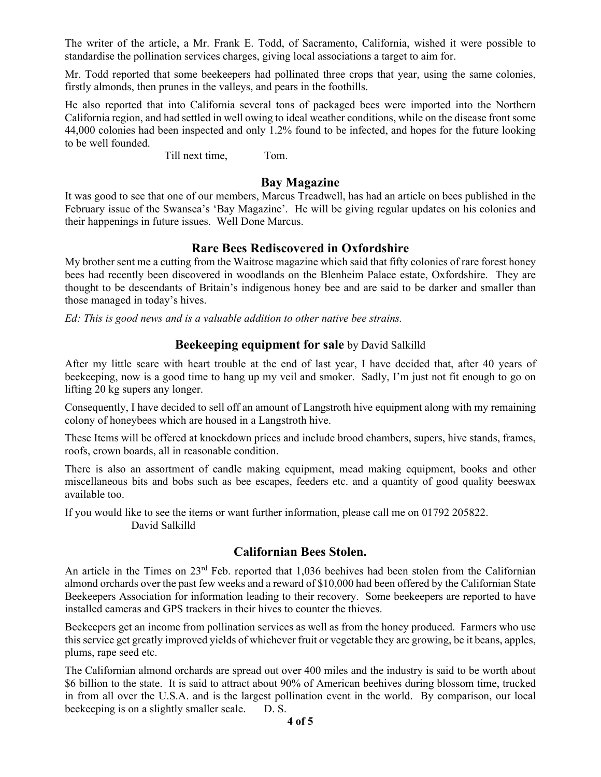The writer of the article, a Mr. Frank E. Todd, of Sacramento, California, wished it were possible to standardise the pollination services charges, giving local associations a target to aim for.

Mr. Todd reported that some beekeepers had pollinated three crops that year, using the same colonies, firstly almonds, then prunes in the valleys, and pears in the foothills.

He also reported that into California several tons of packaged bees were imported into the Northern California region, and had settled in well owing to ideal weather conditions, while on the disease front some 44,000 colonies had been inspected and only 1.2% found to be infected, and hopes for the future looking to be well founded.

Till next time, Tom.

#### **Bay Magazine**

It was good to see that one of our members, Marcus Treadwell, has had an article on bees published in the February issue of the Swansea's 'Bay Magazine'. He will be giving regular updates on his colonies and their happenings in future issues. Well Done Marcus.

#### **Rare Bees Rediscovered in Oxfordshire**

My brother sent me a cutting from the Waitrose magazine which said that fifty colonies of rare forest honey bees had recently been discovered in woodlands on the Blenheim Palace estate, Oxfordshire. They are thought to be descendants of Britain's indigenous honey bee and are said to be darker and smaller than those managed in today's hives.

*Ed: This is good news and is a valuable addition to other native bee strains.* 

## **Beekeeping equipment for sale** by David Salkilld

After my little scare with heart trouble at the end of last year, I have decided that, after 40 years of beekeeping, now is a good time to hang up my veil and smoker. Sadly, I'm just not fit enough to go on lifting 20 kg supers any longer.

Consequently, I have decided to sell off an amount of Langstroth hive equipment along with my remaining colony of honeybees which are housed in a Langstroth hive.

These Items will be offered at knockdown prices and include brood chambers, supers, hive stands, frames, roofs, crown boards, all in reasonable condition.

There is also an assortment of candle making equipment, mead making equipment, books and other miscellaneous bits and bobs such as bee escapes, feeders etc. and a quantity of good quality beeswax available too.

If you would like to see the items or want further information, please call me on 01792 205822.

David Salkilld

#### **Californian Bees Stolen.**

An article in the Times on 23<sup>rd</sup> Feb. reported that 1,036 beehives had been stolen from the Californian almond orchards over the past few weeks and a reward of \$10,000 had been offered by the Californian State Beekeepers Association for information leading to their recovery. Some beekeepers are reported to have installed cameras and GPS trackers in their hives to counter the thieves.

Beekeepers get an income from pollination services as well as from the honey produced. Farmers who use this service get greatly improved yields of whichever fruit or vegetable they are growing, be it beans, apples, plums, rape seed etc.

The Californian almond orchards are spread out over 400 miles and the industry is said to be worth about \$6 billion to the state. It is said to attract about 90% of American beehives during blossom time, trucked in from all over the U.S.A. and is the largest pollination event in the world. By comparison, our local beekeeping is on a slightly smaller scale. D. S.